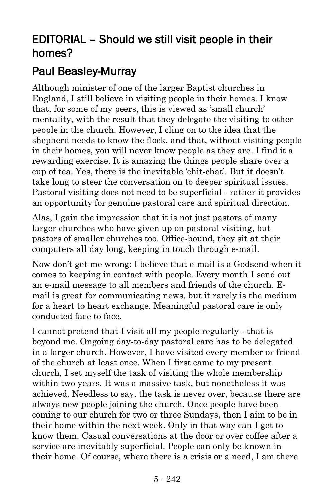## EDITORIAL – Should we still visit people in their homes?

## [Paul Beasley-Murray](https://www.ministrytoday.org.uk/magazine/authors/423/)

Although minister of one of the larger Baptist churches in England, I still believe in visiting people in their homes. I know that, for some of my peers, this is viewed as 'small church' mentality, with the result that they delegate the visiting to other people in the church. However, I cling on to the idea that the shepherd needs to know the flock, and that, without visiting people in their homes, you will never know people as they are. I find it a rewarding exercise. It is amazing the things people share over a cup of tea. Yes, there is the inevitable 'chit-chat'. But it doesn't take long to steer the conversation on to deeper spiritual issues. Pastoral visiting does not need to be superficial - rather it provides an opportunity for genuine pastoral care and spiritual direction.

Alas, I gain the impression that it is not just pastors of many larger churches who have given up on pastoral visiting, but pastors of smaller churches too. Office-bound, they sit at their computers all day long, keeping in touch through e-mail.

Now don't get me wrong: I believe that e-mail is a Godsend when it comes to keeping in contact with people. Every month I send out an e-mail message to all members and friends of the church. Email is great for communicating news, but it rarely is the medium for a heart to heart exchange. Meaningful pastoral care is only conducted face to face.

I cannot pretend that I visit all my people regularly - that is beyond me. Ongoing day-to-day pastoral care has to be delegated in a larger church. However, I have visited every member or friend of the church at least once. When I first came to my present church, I set myself the task of visiting the whole membership within two years. It was a massive task, but nonetheless it was achieved. Needless to say, the task is never over, because there are always new people joining the church. Once people have been coming to our church for two or three Sundays, then I aim to be in their home within the next week. Only in that way can I get to know them. Casual conversations at the door or over coffee after a service are inevitably superficial. People can only be known in their home. Of course, where there is a crisis or a need, I am there